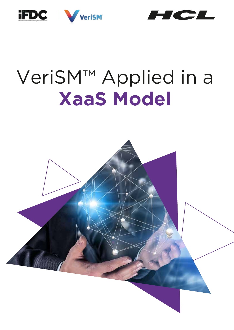



# VeriSM™ Applied in a **XaaS Model**

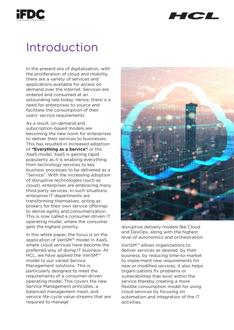



## Introduction

In the present era of digitalization, with the proliferation of cloud and mobility, there are a variety of services and applications available for access on demand over the internet. Services are ordered and consumed at an astounding rate today. Hence, there is a need for enterprises to source and facilitate the consumption of their users' service requirements

As a result, on-demand and subscription-based models are becoming the new norm for enterprises to deliver their services to businesses. This has resulted in increased adoption of **"Everything as a Service"** or the XaaS model. XaaS is gaining rapid popularity as it is enabling everything from technology services to key business processes to be delivered as a "Service". With the increasing adoption of disruptive technologies (such as cloud), enterprises are embracing many third party services. In such situations, enterprise IT departments are transforming themselves, acting as brokers for their own service offerings to derive agility and consumerization. This is now called a consumer-driven IT operating model, where the consumer gets the highest priority.

In this white paper, the focus is on the application of VeriSM™ model in XaaS, where cloud services have become the preferred way of doing IT business. At HCL, we have applied the VeriSM™ model to our varied Service Management solutions. This is particularly designed to meet the requirements of a consumer-driven operating model. This covers the new Service Management principles, a balanced management mesh, and service life-cycle value streams that are required to manage



disruptive delivery models like Cloud and DevOps, along with the highest level of autonomics and orchestration.

VeriSM™ allows organizations to deliver services as desired, by their business, by reducing time-to-market to imple-ment new requirements for new or modified services. It also helps organi-zations fix problems or vulnerabilities that exist within the service thereby creating a more flexible consumption model for using cloud services by focusing on automation and integration of the IT activities.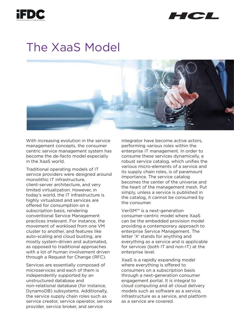



### The XaaS Model



With increasing evolution in the service management concepts, the consumer centric service management system has become the de-facto model especially in the XaaS world.

Traditional operating models of IT service providers were designed around monolithic IT infrastructure, client-server architecture, and very limited virtualization. However, in today's world, the IT infrastructure is highly virtualized and services are offered for consumption on a subscription basis, rendering conventional Service Management practices irrelevant. For instance, the movement of workload from one VM cluster to another, and features like auto-scaling and cloud busting, are mostly system-driven and automated, as opposed to traditional approaches with a lot of human involvement driven through a Request for Change (RFC).

Services are essentially composed of microservices and each of them is independently supported by an unstructured database and non-relational database (for instance, DynamoDB) subsystems. Additionally, the service supply chain roles such as service creator, service operator, service provider, service broker, and service

integrator have become active actors, performing various roles within the enterprise IT management. In order to consume these services dynamically, a robust service catalog, which unifies the various micro-elements of a service and its supply chain roles, is of paramount importance. The service catalog becomes the center of the universe and the heart of the management mesh. Put simply, unless a service is published in the catalog, it cannot be consumed by the consumer.

VeriSM™ is a next-generation consumer-centric model where XaaS can be the embedded provision model providing a contemporary approach to enterprise Service Management. The letter 'X' stands for anything and everything as a service and is applicable for services (both IT and non-IT) at the enterprise level.

XaaS is a rapidly expanding model where everything is offered to consumers on a subscription basis through a next-generation consumer engagement portal. It is integral to cloud computing and all cloud delivery models such as software as a service, infrastructure as a service, and platform as a service are covered.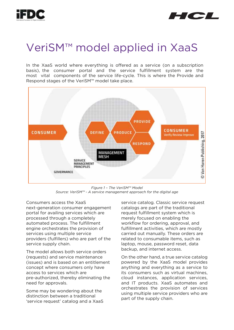



### VeriSM™ model applied in XaaS

In the XaaS world where everything is offered as a service (on a subscription basis), the consumer portal and the service fulfillment system are the most vital components of the service life-cycle. This is where the Provide and Respond stages of the VeriSM™ model take place.



*Figure 1 – The VeriSM™ Model Source: VeriSM™ - A service management approach for the digital age*

Consumers access the XaaS next-generation consumer engagement portal for availing services which are processed through a completely automated process. The fulfillment engine orchestrates the provision of services using multiple service providers (fulfillers) who are part of the service supply chain.

The model allows both service orders (requests) and service maintenance (issues) and is based on an entitlement concept where consumers only have access to services which are pre-authorized, thereby eliminating the need for approvals.

Some may be wondering about the distinction between a traditional 'service request' catalog and a XaaS service catalog. Classic service request catalogs are part of the traditional request fulfillment system which is merely focused on enabling the workflow for ordering, approval, and fulfillment activities, which are mostly carried out manually. These orders are related to consumable items, such as laptop, mouse, password reset, data backup, and internet access.

On the other hand, a true service catalog powered by the XaaS model provides anything and everything as a service to its consumers such as virtual machines, cloud instances, application services, and IT products. XaaS automates and orchestrates the provision of services using multiple service providers who are part of the supply chain.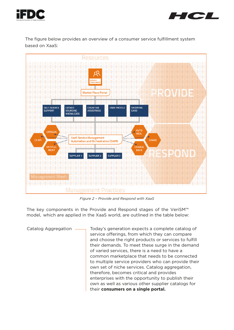



The figure below provides an overview of a consumer service fulfillment system based on XaaS:



*Figure 2 – Provide and Respond with XaaS*

The key components in the Provide and Respond stages of the VeriSM™ model, which are applied in the XaaS world, are outlined in the table below:

Catalog Aggregation  $\longrightarrow$  Today's generation expects a complete catalog of service offerings, from which they can compare and choose the right products or services to fulfill their demands. To meet these surge in the demand of varied services, there is a need to have a common marketplace that needs to be connected to multiple service providers who can provide their own set of niche services. Catalog aggregation, therefore, becomes critical and provides enterprises with the opportunity to publish their own as well as various other supplier catalogs for their **consumers on a single portal.**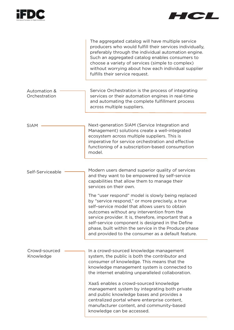



|                               | The aggregated catalog will have multiple service<br>producers who would fulfill their services individually,<br>preferably through the individual automation engine.<br>Such an aggregated catalog enables consumers to<br>choose a variety of services (simple to complex)<br>without worrying about how each individual supplier<br>fulfills their service request.                                                         |
|-------------------------------|--------------------------------------------------------------------------------------------------------------------------------------------------------------------------------------------------------------------------------------------------------------------------------------------------------------------------------------------------------------------------------------------------------------------------------|
| Automation &<br>Orchestration | Service Orchestration is the process of integrating<br>services or their automation engines in real-time<br>and automating the complete fulfillment process<br>across multiple suppliers.                                                                                                                                                                                                                                      |
| <b>SIAM</b>                   | Next-generation SIAM (Service Integration and<br>Management) solutions create a well-integrated<br>ecosystem across multiple suppliers. This is<br>imperative for service orchestration and effective<br>functioning of a subscription-based consumption<br>model.                                                                                                                                                             |
| Self-Serviceable              | Modern users demand superior quality of services<br>and they want to be empowered by self-service<br>capabilities that allow them to manage their<br>services on their own.                                                                                                                                                                                                                                                    |
|                               | The "user respond" model is slowly being replaced<br>by "service respond," or more precisely, a true<br>self-service model that allows users to obtain<br>outcomes without any intervention from the<br>service provider. It is, therefore, important that a<br>self-service component is designed in the Define<br>phase, built within the service in the Produce phase<br>and provided to the consumer as a default feature. |
| Crowd-sourced<br>Knowledge    | In a crowd-sourced knowledge management<br>system, the public is both the contributor and<br>consumer of knowledge. This means that the<br>knowledge management system is connected to<br>the internet enabling unparalleled collaboration.                                                                                                                                                                                    |
|                               | XaaS enables a crowd-sourced knowledge<br>management system by integrating both private<br>and public knowledge bases and provides a<br>centralized portal where enterprise content,<br>manufacturer content, and community-based<br>knowledge can be accessed.                                                                                                                                                                |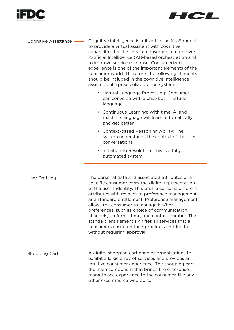



| Cognitive Assistance | Cognitive intelligence is utilized in the XaaS model<br>to provide a virtual assistant with cognitive<br>capabilities for the service consumer, to empower<br>Artificial Intelligence (AI)-based orchestration and<br>to improve service response. Consumerized<br>experience is one of the important elements of the<br>consumer world. Therefore, the following elements<br>should be included in the cognitive intelligence<br>assisted enterprise collaboration system:                                                                                     |
|----------------------|-----------------------------------------------------------------------------------------------------------------------------------------------------------------------------------------------------------------------------------------------------------------------------------------------------------------------------------------------------------------------------------------------------------------------------------------------------------------------------------------------------------------------------------------------------------------|
|                      | • Natural Language Processing: Consumers<br>can converse with a chat-bot in natural<br>language.                                                                                                                                                                                                                                                                                                                                                                                                                                                                |
|                      | • Continuous Learning: With time, AI and<br>machine language will learn automatically<br>and get better.                                                                                                                                                                                                                                                                                                                                                                                                                                                        |
|                      | • Context-based Reasoning Ability: The<br>system understands the context of the user<br>conversations.                                                                                                                                                                                                                                                                                                                                                                                                                                                          |
|                      | • Initiation to Resolution: This is a fully<br>automated system.                                                                                                                                                                                                                                                                                                                                                                                                                                                                                                |
| User Profiling       | The personal data and associated attributes of a<br>specific consumer carry the digital representation<br>of the user's identity. This profile contains different<br>attributes with respect to preference management<br>and standard entitlement. Preference management<br>allows the consumer to manage his/her<br>preferences, such as choice of communication<br>channels, preferred time, and contact number. The<br>standard entitlement signifies all services that a<br>consumer (based on their profile) is entitled to<br>without requiring approval. |
| <b>Shopping Cart</b> | A digital shopping cart enables organizations to<br>exhibit a large array of services and provides an<br>intuitive consumer experience. The shopping cart is                                                                                                                                                                                                                                                                                                                                                                                                    |

intuitive consumer experience. The shopping cart is the main component that brings the enterprise marketplace experience to the consumer, like any other e-commerce web portal.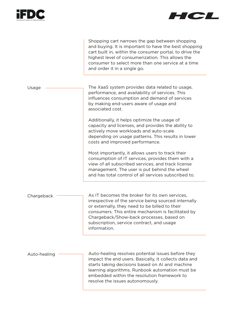



|              | Shopping cart narrows the gap between shopping<br>and buying. It is important to have the best shopping<br>cart built in, within the consumer portal, to drive the<br>highest level of consumerization. This allows the<br>consumer to select more than one service at a time<br>and order it in a single go.                                                                                                           |
|--------------|-------------------------------------------------------------------------------------------------------------------------------------------------------------------------------------------------------------------------------------------------------------------------------------------------------------------------------------------------------------------------------------------------------------------------|
| Usage        | The XaaS system provides data related to usage,<br>performance, and availability of services. This<br>influences consumption and demand of services<br>by making end-users aware of usage and<br>associated cost.<br>Additionally, it helps optimize the usage of<br>capacity and licenses, and provides the ability to<br>actively move workloads and auto-scale<br>depending on usage patterns. This results in lower |
|              | costs and improved performance.<br>Most importantly, it allows users to track their<br>consumption of IT services, provides them with a<br>view of all subscribed services, and track license<br>management. The user is put behind the wheel<br>and has total control of all services subscribed to.                                                                                                                   |
| Chargeback   | As IT becomes the broker for its own services,<br>irrespective of the service being sourced internally<br>or externally, they need to be billed to their<br>consumers. This entire mechanism is facilitated by<br>Chargeback/Show-back processes, based on<br>subscription, service contract, and usage<br>information.                                                                                                 |
| Auto-healing | Auto-healing resolves potential issues before they<br>impact the end users. Basically, it collects data and<br>starts taking decisions based on AI and machine<br>learning algorithms. Runbook automation must be<br>embedded within the resolution framework to<br>resolve the issues autonomously.                                                                                                                    |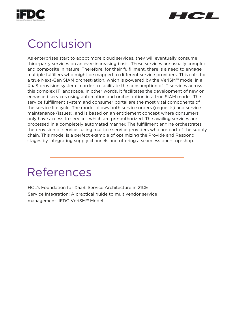



### Conclusion

As enterprises start to adopt more cloud services, they will eventually consume third-party services on an ever-increasing basis. These services are usually complex and composite in nature. Therefore, for their fulfillment, there is a need to engage multiple fulfillers who might be mapped to different service providers. This calls for a true Next-Gen SIAM orchestration, which is powered by the VeriSM™ model in a XaaS provision system in order to facilitate the consumption of IT services across this complex IT landscape. In other words, it facilitates the development of new or enhanced services using automation and orchestration in a true SIAM model. The service fulfillment system and consumer portal are the most vital components of the service lifecycle. The model allows both service orders (requests) and service maintenance (issues), and is based on an entitlement concept where consumers only have access to services which are pre-authorized. The availing services are processed in a completely automated manner. The fulfillment engine orchestrates the provision of services using multiple service providers who are part of the supply chain. This model is a perfect example of optimizing the Provide and Respond stages by integrating supply channels and offering a seamless one-stop-shop.

# References

HCL's Foundation for XaaS: Service Architecture in 21CE Service Integration: A practical guide to multivendor service management IFDC VeriSM™ Model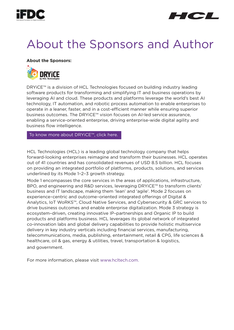



# About the Sponsors and Author

**About the Sponsors:**



DRYiCE™ is a division of HCL Technologies focused on building industry leading software products for transforming and simplifying IT and business operations by leveraging AI and cloud. These products and platforms leverage the world's best AI technology, IT automation, and robotic process automation to enable enterprises to operate in a leaner, faster, and in a cost-efficient manner while ensuring superior business outcomes. The DRYiCE™ vision focuses on AI-led service assurance, enabling a service-oriented enterprise, driving enterprise-wide digital agility and business flow intelligence.

To know more about DRYiCE™, click here.

HCL Technologies (HCL) is a leading global technology company that helps forward-looking enterprises reimagine and transform their businesses. HCL operates out of 41 countries and has consolidated revenues of USD 8.5 billion. HCL focuses on providing an integrated portfolio of platforms, products, solutions, and services underlined by its Mode 1–2–3 growth strategy.

Mode 1 encompasses the core services in the areas of applications, infrastructure, BPO, and engineering and R&D services, leveraging DRYiCE™ to transform clients' business and IT landscape, making them 'lean' and 'agile'. Mode 2 focuses on experience-centric and outcome-oriented integrated offerings of Digital & Analytics, IoT WoRKS™, Cloud Native Services, and Cybersecurity & GRC services to drive business outcomes and enable enterprise digitalization. Mode 3 strategy is ecosystem–driven, creating innovative IP–partnerships and Organic IP to build products and platforms business. HCL leverages its global network of integrated co-innovation labs and global delivery capabilities to provide holistic multiservice delivery in key industry verticals including financial services, manufacturing, telecommunications, media, publishing, entertainment, retail & CPG, life sciences & healthcare, oil & gas, energy & utilities, travel, transportation & logistics, and government.

For more information, please visit www.hcltech.com.